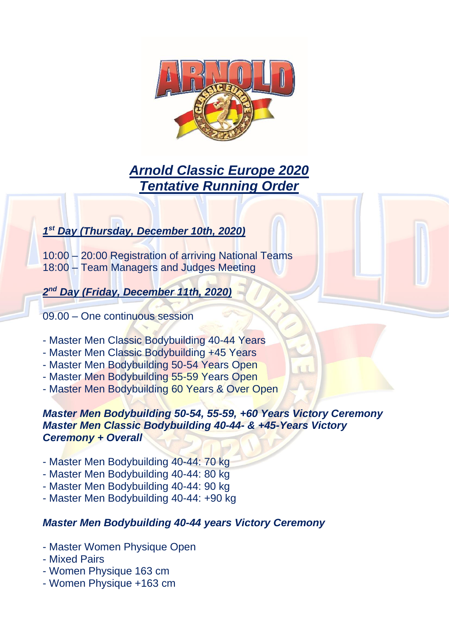

# *Arnold Classic Europe 2020 Tentative Running Order*

# *1 st Day (Thursday, December 10th, 2020)*

10:00 – 20:00 Registration of arriving National Teams 18:00 – Team Managers and Judges Meeting

*2 nd Day (Friday, December 11th, 2020)*

09.00 – One continuous session

- Master Men Classic Bodybuilding 40-44 Years
- Master Men Classic Bodybuilding +45 Years
- Master Men Bodybuilding 50-54 Years Open
- Master Men Bodybuilding 55-59 Years Open
- Master Men Bodybuilding 60 Years & Over Open

## *Master Men Bodybuilding 50-54, 55-59, +60 Years Victory Ceremony Master Men Classic Bodybuilding 40-44- & +45-Years Victory Ceremony + Overall*

- Master Men Bodybuilding 40-44: 70 kg
- Master Men Bodybuilding 40-44: 80 kg
- Master Men Bodybuilding 40-44: 90 kg
- Master Men Bodybuilding 40-44: +90 kg

# *Master Men Bodybuilding 40-44 years Victory Ceremony*

- Master Women Physique Open
- Mixed Pairs
- Women Physique 163 cm
- Women Physique +163 cm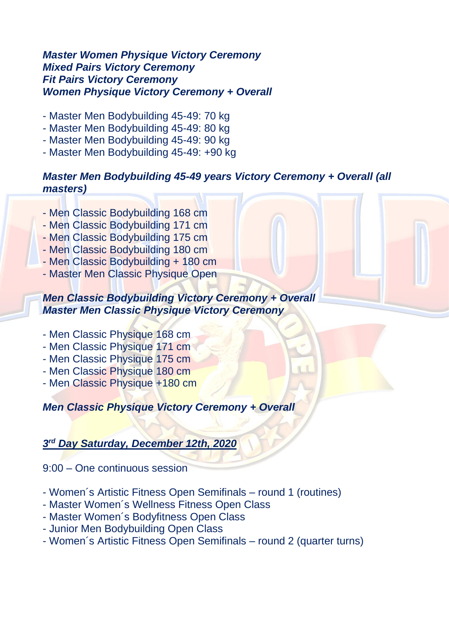#### *Master Women Physique Victory Ceremony Mixed Pairs Victory Ceremony Fit Pairs Victory Ceremony Women Physique Victory Ceremony + Overall*

- Master Men Bodybuilding 45-49: 70 kg
- Master Men Bodybuilding 45-49: 80 kg
- Master Men Bodybuilding 45-49: 90 kg
- Master Men Bodybuilding 45-49: +90 kg

## *Master Men Bodybuilding 45-49 years Victory Ceremony + Overall (all masters)*

- Men Classic Bodybuilding 168 cm
- Men Classic Bodybuilding 171 cm
- Men Classic Bodybuilding 175 cm
- Men Classic Bodybuilding 180 cm
- Men Classic Bodybuilding + 180 cm
- Master Men Classic Physique Open

#### *Men Classic Bodybuilding Victory Ceremony + Overall Master Men Classic Physique Victory Ceremony*

- Men Classic Physique 168 cm
- Men Classic Physique 171 cm
- Men Classic Physique 175 cm
- Men Classic Physique 180 cm
- Men Classic Physique +180 cm

*Men Classic Physique Victory Ceremony + Overall* 

# *3 rd Day Saturday, December 12th, 2020*

9:00 – One continuous session

- Women´s Artistic Fitness Open Semifinals round 1 (routines)
- Master Women´s Wellness Fitness Open Class
- Master Women´s Bodyfitness Open Class
- Junior Men Bodybuilding Open Class
- Women´s Artistic Fitness Open Semifinals round 2 (quarter turns)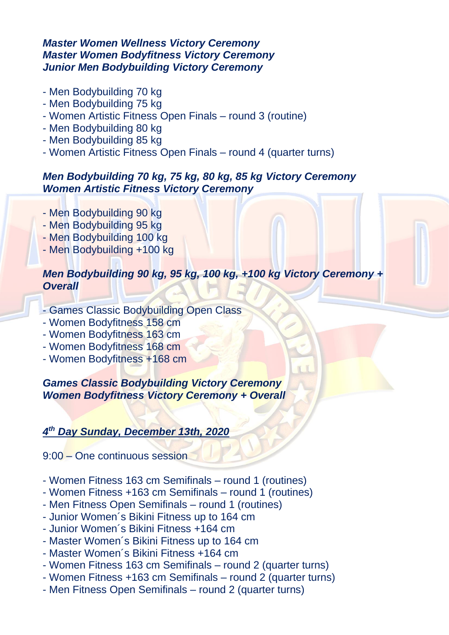## *Master Women Wellness Victory Ceremony Master Women Bodyfitness Victory Ceremony Junior Men Bodybuilding Victory Ceremony*

- Men Bodybuilding 70 kg
- Men Bodybuilding 75 kg
- Women Artistic Fitness Open Finals round 3 (routine)
- Men Bodybuilding 80 kg
- Men Bodybuilding 85 kg
- Women Artistic Fitness Open Finals round 4 (quarter turns)

# *Men Bodybuilding 70 kg, 75 kg, 80 kg, 85 kg Victory Ceremony Women Artistic Fitness Victory Ceremony*

- Men Bodybuilding 90 kg
- Men Bodybuilding 95 kg
- Men Bodybuilding 100 kg
- Men Bodybuilding +100 kg

# *Men Bodybuilding 90 kg, 95 kg, 100 kg, +100 kg Victory Ceremony + Overall*

- Games Classic Bodybuilding Open Class
- Women Bodyfitness 158 cm
- Women Bodyfitness 163 cm
- Women Bodyfitness 168 cm
- Women Bodyfitness +168 cm

*Games Classic Bodybuilding Victory Ceremony Women Bodyfitness Victory Ceremony + Overall*

# *4 th Day Sunday, December 13th, 2020*

9:00 – One continuous session

- Women Fitness 163 cm Semifinals round 1 (routines)
- Women Fitness +163 cm Semifinals round 1 (routines)
- Men Fitness Open Semifinals round 1 (routines)
- Junior Women´s Bikini Fitness up to 164 cm
- Junior Women´s Bikini Fitness +164 cm
- Master Women´s Bikini Fitness up to 164 cm
- Master Women´s Bikini Fitness +164 cm
- Women Fitness 163 cm Semifinals round 2 (quarter turns)
- Women Fitness +163 cm Semifinals round 2 (quarter turns)
- Men Fitness Open Semifinals round 2 (quarter turns)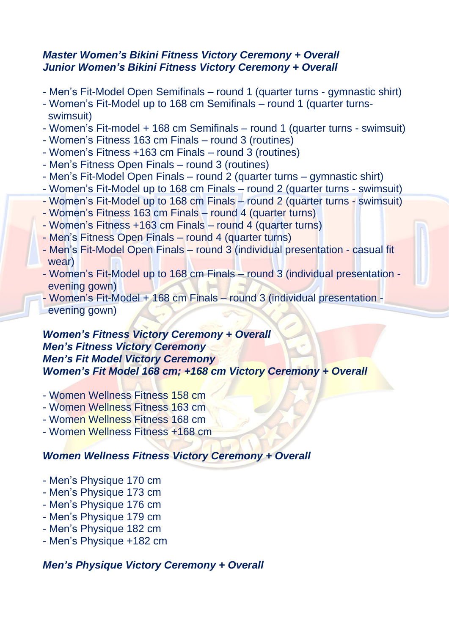#### *Master Women's Bikini Fitness Victory Ceremony + Overall Junior Women's Bikini Fitness Victory Ceremony + Overall*

- Men's Fit-Model Open Semifinals round 1 (quarter turns gymnastic shirt)
- Women's Fit-Model up to 168 cm Semifinals round 1 (quarter turnsswimsuit)
- Women's Fit-model + 168 cm Semifinals round 1 (quarter turns swimsuit)
- Women's Fitness 163 cm Finals round 3 (routines)
- Women's Fitness +163 cm Finals round 3 (routines)
- Men's Fitness Open Finals round 3 (routines)
- Men's Fit-Model Open Finals round 2 (quarter turns gymnastic shirt)
- Women's Fit-Model up to 168 cm Finals round 2 (quarter turns swimsuit)
- Women's Fit-Model up to 168 cm Finals round 2 (quarter turns swimsuit)
- Women's Fitness 163 cm Finals round 4 (quarter turns)
- Women's Fitness +163 cm Finals round 4 (quarter turns)
- Men's Fitness Open Finals round 4 (quarter turns)
- Men's Fit-Model Open Finals round 3 (individual presentation casual fit wear)
- Women's Fit-Model up to 168 cm Finals round 3 (individual presentation evening gown)
- Women's Fit-Model + 168 cm Finals round 3 (individual presentation evening gown)

## *Women's Fitness Victory Ceremony + Overall Men's Fitness Victory Ceremony Men's Fit Model Victory Ceremony Women's Fit Model 168 cm; +168 cm Victory Ceremony + Overall*

- Women Wellness Fitness 158 cm
- Women Wellness Fitness 163 cm
- Women Wellness Fitness 168 cm
- Women Wellness Fitness +168 cm

# *Women Wellness Fitness Victory Ceremony + Overall*

- Men's Physique 170 cm
- Men's Physique 173 cm
- Men's Physique 176 cm
- Men's Physique 179 cm
- Men's Physique 182 cm
- Men's Physique +182 cm

# *Men's Physique Victory Ceremony + Overall*